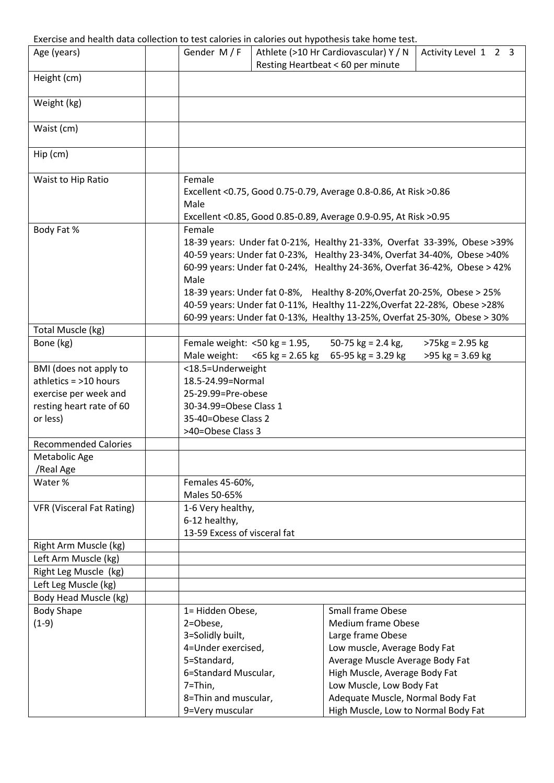## Exercise and health data collection to test calories in calories out hypothesis take home test.

|                                  |                                     | באכרכוסיכ מחס חכמונון ממנט כטווכפנוטורנט נכסנ כטוטורכס ווו כטוטורכס טענ ווין אטנווכסוס נטופ חטוווכ נכסנ |
|----------------------------------|-------------------------------------|---------------------------------------------------------------------------------------------------------|
| Age (years)                      | Gender $M/F$                        | Athlete (>10 Hr Cardiovascular) Y / N<br>Activity Level 1 2 3<br>Resting Heartbeat < 60 per minute      |
| Height (cm)                      |                                     |                                                                                                         |
| Weight (kg)                      |                                     |                                                                                                         |
| Waist (cm)                       |                                     |                                                                                                         |
| $Hip$ (cm)                       |                                     |                                                                                                         |
|                                  |                                     |                                                                                                         |
| Waist to Hip Ratio               | Female                              |                                                                                                         |
|                                  |                                     | Excellent < 0.75, Good 0.75-0.79, Average 0.8-0.86, At Risk > 0.86                                      |
|                                  | Male                                |                                                                                                         |
|                                  |                                     | Excellent <0.85, Good 0.85-0.89, Average 0.9-0.95, At Risk >0.95                                        |
| Body Fat %                       | Female                              | 18-39 years: Under fat 0-21%, Healthy 21-33%, Overfat 33-39%, Obese >39%                                |
|                                  |                                     | 40-59 years: Under fat 0-23%, Healthy 23-34%, Overfat 34-40%, Obese >40%                                |
|                                  |                                     | 60-99 years: Under fat 0-24%, Healthy 24-36%, Overfat 36-42%, Obese > 42%                               |
|                                  | Male                                |                                                                                                         |
|                                  |                                     | 18-39 years: Under fat 0-8%, Healthy 8-20%, Overfat 20-25%, Obese > 25%                                 |
|                                  |                                     | 40-59 years: Under fat 0-11%, Healthy 11-22%, Overfat 22-28%, Obese >28%                                |
|                                  |                                     | 60-99 years: Under fat 0-13%, Healthy 13-25%, Overfat 25-30%, Obese > 30%                               |
| Total Muscle (kg)                |                                     |                                                                                                         |
| Bone (kg)                        |                                     | Female weight: $<$ 50 kg = 1.95,<br>50-75 $kg = 2.4$ $kg$ ,<br>$>75$ kg = 2.95 kg                       |
|                                  |                                     | Male weight: $<$ 65 kg = 2.65 kg 65-95 kg = 3.29 kg<br>$>95$ kg = 3.69 kg                               |
| BMI (does not apply to           | <18.5=Underweight                   |                                                                                                         |
| athletics $=$ >10 hours          | 18.5-24.99=Normal                   |                                                                                                         |
| exercise per week and            | 25-29.99=Pre-obese                  |                                                                                                         |
| resting heart rate of 60         | 30-34.99=Obese Class 1              |                                                                                                         |
| or less)                         | 35-40=Obese Class 2                 |                                                                                                         |
| <b>Recommended Calories</b>      | >40=Obese Class 3                   |                                                                                                         |
| Metabolic Age                    |                                     |                                                                                                         |
| /Real Age                        |                                     |                                                                                                         |
| Water %                          | Females 45-60%,                     |                                                                                                         |
|                                  | Males 50-65%                        |                                                                                                         |
| <b>VFR (Visceral Fat Rating)</b> | 1-6 Very healthy,                   |                                                                                                         |
|                                  | 6-12 healthy,                       |                                                                                                         |
|                                  | 13-59 Excess of visceral fat        |                                                                                                         |
| Right Arm Muscle (kg)            |                                     |                                                                                                         |
| Left Arm Muscle (kg)             |                                     |                                                                                                         |
| Right Leg Muscle (kg)            |                                     |                                                                                                         |
| Left Leg Muscle (kg)             |                                     |                                                                                                         |
| Body Head Muscle (kg)            |                                     |                                                                                                         |
| <b>Body Shape</b>                | 1= Hidden Obese,                    | <b>Small frame Obese</b>                                                                                |
| $(1-9)$                          | 2=Obese,                            | Medium frame Obese                                                                                      |
|                                  | 3=Solidly built,                    | Large frame Obese                                                                                       |
|                                  | 4=Under exercised,                  | Low muscle, Average Body Fat                                                                            |
|                                  | 5=Standard,<br>6=Standard Muscular, | Average Muscle Average Body Fat<br>High Muscle, Average Body Fat                                        |
|                                  | 7=Thin,                             | Low Muscle, Low Body Fat                                                                                |
|                                  | 8=Thin and muscular,                | Adequate Muscle, Normal Body Fat                                                                        |
|                                  | 9=Very muscular                     | High Muscle, Low to Normal Body Fat                                                                     |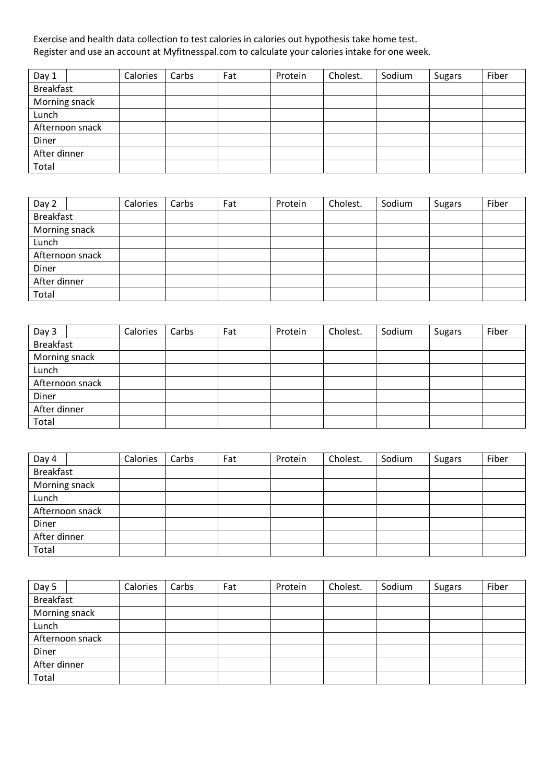Exercise and health data collection to test calories in calories out hypothesis take home test. Register and use an account at Myfitnesspal.com to calculate your calories intake for one week.

| Day 1            |                 | Calories | Carbs | Fat | Protein | Cholest. | Sodium | <b>Sugars</b> | Fiber |
|------------------|-----------------|----------|-------|-----|---------|----------|--------|---------------|-------|
| <b>Breakfast</b> |                 |          |       |     |         |          |        |               |       |
| Morning snack    |                 |          |       |     |         |          |        |               |       |
| Lunch            |                 |          |       |     |         |          |        |               |       |
|                  | Afternoon snack |          |       |     |         |          |        |               |       |
| Diner            |                 |          |       |     |         |          |        |               |       |
| After dinner     |                 |          |       |     |         |          |        |               |       |
| Total            |                 |          |       |     |         |          |        |               |       |

| Day 2            | Calories | Carbs | Fat | Protein | Cholest. | Sodium | <b>Sugars</b> | Fiber |
|------------------|----------|-------|-----|---------|----------|--------|---------------|-------|
| <b>Breakfast</b> |          |       |     |         |          |        |               |       |
| Morning snack    |          |       |     |         |          |        |               |       |
| Lunch            |          |       |     |         |          |        |               |       |
| Afternoon snack  |          |       |     |         |          |        |               |       |
| Diner            |          |       |     |         |          |        |               |       |
| After dinner     |          |       |     |         |          |        |               |       |
| Total            |          |       |     |         |          |        |               |       |

| Day 3            | Calories | Carbs | Fat | Protein | Cholest. | Sodium | <b>Sugars</b> | Fiber |
|------------------|----------|-------|-----|---------|----------|--------|---------------|-------|
| <b>Breakfast</b> |          |       |     |         |          |        |               |       |
| Morning snack    |          |       |     |         |          |        |               |       |
| Lunch            |          |       |     |         |          |        |               |       |
| Afternoon snack  |          |       |     |         |          |        |               |       |
| Diner            |          |       |     |         |          |        |               |       |
| After dinner     |          |       |     |         |          |        |               |       |
| Total            |          |       |     |         |          |        |               |       |

| Day 4            | Calories | Carbs | Fat | Protein | Cholest. | Sodium | <b>Sugars</b> | Fiber |
|------------------|----------|-------|-----|---------|----------|--------|---------------|-------|
| <b>Breakfast</b> |          |       |     |         |          |        |               |       |
| Morning snack    |          |       |     |         |          |        |               |       |
| Lunch            |          |       |     |         |          |        |               |       |
| Afternoon snack  |          |       |     |         |          |        |               |       |
| Diner            |          |       |     |         |          |        |               |       |
| After dinner     |          |       |     |         |          |        |               |       |
| Total            |          |       |     |         |          |        |               |       |

| Day 5            | Calories | Carbs | Fat | Protein | Cholest. | Sodium | <b>Sugars</b> | Fiber |
|------------------|----------|-------|-----|---------|----------|--------|---------------|-------|
| <b>Breakfast</b> |          |       |     |         |          |        |               |       |
| Morning snack    |          |       |     |         |          |        |               |       |
| Lunch            |          |       |     |         |          |        |               |       |
| Afternoon snack  |          |       |     |         |          |        |               |       |
| Diner            |          |       |     |         |          |        |               |       |
| After dinner     |          |       |     |         |          |        |               |       |
| Total            |          |       |     |         |          |        |               |       |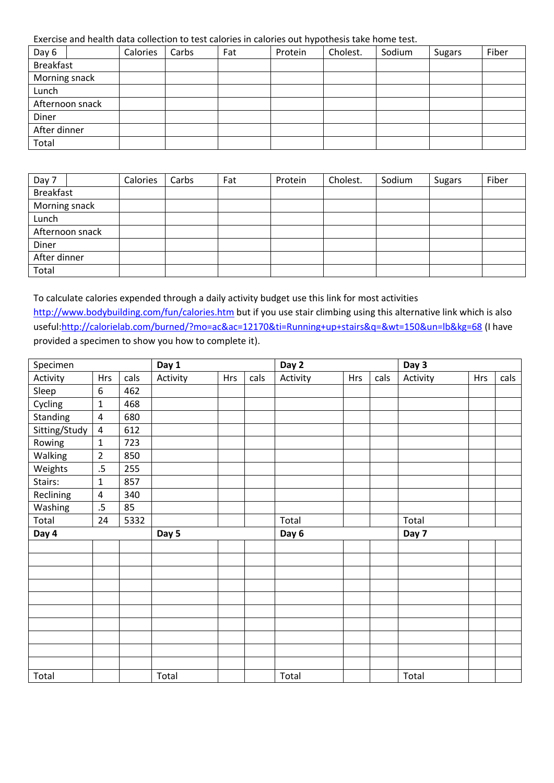Exercise and health data collection to test calories in calories out hypothesis take home test.

| Day 6            |                 | Calories | Carbs | Fat | Protein | Cholest. | Sodium | <b>Sugars</b> | Fiber |
|------------------|-----------------|----------|-------|-----|---------|----------|--------|---------------|-------|
| <b>Breakfast</b> |                 |          |       |     |         |          |        |               |       |
| Morning snack    |                 |          |       |     |         |          |        |               |       |
| Lunch            |                 |          |       |     |         |          |        |               |       |
|                  | Afternoon snack |          |       |     |         |          |        |               |       |
| Diner            |                 |          |       |     |         |          |        |               |       |
| After dinner     |                 |          |       |     |         |          |        |               |       |
| Total            |                 |          |       |     |         |          |        |               |       |

| Day 7            | Calories | Carbs | Fat | Protein | Cholest. | Sodium | <b>Sugars</b> | Fiber |
|------------------|----------|-------|-----|---------|----------|--------|---------------|-------|
| <b>Breakfast</b> |          |       |     |         |          |        |               |       |
| Morning snack    |          |       |     |         |          |        |               |       |
| Lunch            |          |       |     |         |          |        |               |       |
| Afternoon snack  |          |       |     |         |          |        |               |       |
| Diner            |          |       |     |         |          |        |               |       |
| After dinner     |          |       |     |         |          |        |               |       |
| Total            |          |       |     |         |          |        |               |       |

To calculate calories expended through a daily activity budget use this link for most activities <http://www.bodybuilding.com/fun/calories.htm> but if you use stair climbing using this alternative link which is also useful[:http://calorielab.com/burned/?mo=ac&ac=12170&ti=Running+up+stairs&q=&wt=150&un=lb&kg=68](http://calorielab.com/burned/?mo=ac&ac=12170&ti=Running+up+stairs&q=&wt=150&un=lb&kg=68) (I have provided a specimen to show you how to complete it).

| Specimen      |                |      | Day 1    |            |      | Day 2    |     |      | Day 3    |            |      |
|---------------|----------------|------|----------|------------|------|----------|-----|------|----------|------------|------|
| Activity      | <b>Hrs</b>     | cals | Activity | <b>Hrs</b> | cals | Activity | Hrs | cals | Activity | <b>Hrs</b> | cals |
| Sleep         | 6              | 462  |          |            |      |          |     |      |          |            |      |
| Cycling       | $\mathbf{1}$   | 468  |          |            |      |          |     |      |          |            |      |
| Standing      | 4              | 680  |          |            |      |          |     |      |          |            |      |
| Sitting/Study | $\overline{4}$ | 612  |          |            |      |          |     |      |          |            |      |
| Rowing        | $\mathbf{1}$   | 723  |          |            |      |          |     |      |          |            |      |
| Walking       | $\overline{2}$ | 850  |          |            |      |          |     |      |          |            |      |
| Weights       | $.5\,$         | 255  |          |            |      |          |     |      |          |            |      |
| Stairs:       | $\mathbf{1}$   | 857  |          |            |      |          |     |      |          |            |      |
| Reclining     | 4              | 340  |          |            |      |          |     |      |          |            |      |
| Washing       | $.5\,$         | 85   |          |            |      |          |     |      |          |            |      |
| Total         | 24             | 5332 |          |            |      | Total    |     |      | Total    |            |      |
| Day 4         |                |      | Day 5    |            |      | Day 6    |     |      | Day 7    |            |      |
|               |                |      |          |            |      |          |     |      |          |            |      |
|               |                |      |          |            |      |          |     |      |          |            |      |
|               |                |      |          |            |      |          |     |      |          |            |      |
|               |                |      |          |            |      |          |     |      |          |            |      |
|               |                |      |          |            |      |          |     |      |          |            |      |
|               |                |      |          |            |      |          |     |      |          |            |      |
|               |                |      |          |            |      |          |     |      |          |            |      |
|               |                |      |          |            |      |          |     |      |          |            |      |
|               |                |      |          |            |      |          |     |      |          |            |      |
|               |                |      |          |            |      |          |     |      |          |            |      |
| Total         |                |      | Total    |            |      | Total    |     |      | Total    |            |      |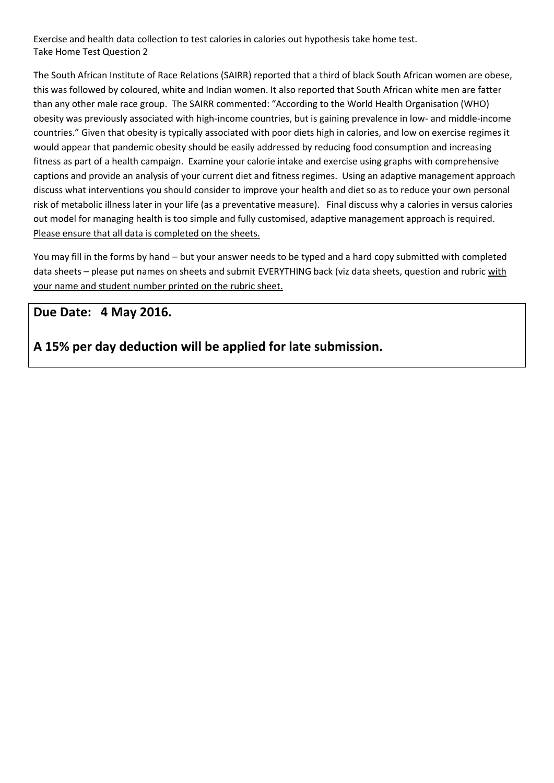Exercise and health data collection to test calories in calories out hypothesis take home test. Take Home Test Question 2

The South African Institute of Race Relations (SAIRR) reported that a third of black South African women are obese, this was followed by coloured, white and Indian women. It also reported that South African white men are fatter than any other male race group. The SAIRR commented: "According to the World Health Organisation (WHO) obesity was previously associated with high-income countries, but is gaining prevalence in low- and middle-income countries." Given that obesity is typically associated with poor diets high in calories, and low on exercise regimes it would appear that pandemic obesity should be easily addressed by reducing food consumption and increasing fitness as part of a health campaign. Examine your calorie intake and exercise using graphs with comprehensive captions and provide an analysis of your current diet and fitness regimes. Using an adaptive management approach discuss what interventions you should consider to improve your health and diet so as to reduce your own personal risk of metabolic illness later in your life (as a preventative measure). Final discuss why a calories in versus calories out model for managing health is too simple and fully customised, adaptive management approach is required. Please ensure that all data is completed on the sheets.

You may fill in the forms by hand – but your answer needs to be typed and a hard copy submitted with completed data sheets – please put names on sheets and submit EVERYTHING back (viz data sheets, question and rubric with your name and student number printed on the rubric sheet.

## **Due Date: 4 May 2016.**

**A 15% per day deduction will be applied for late submission.**